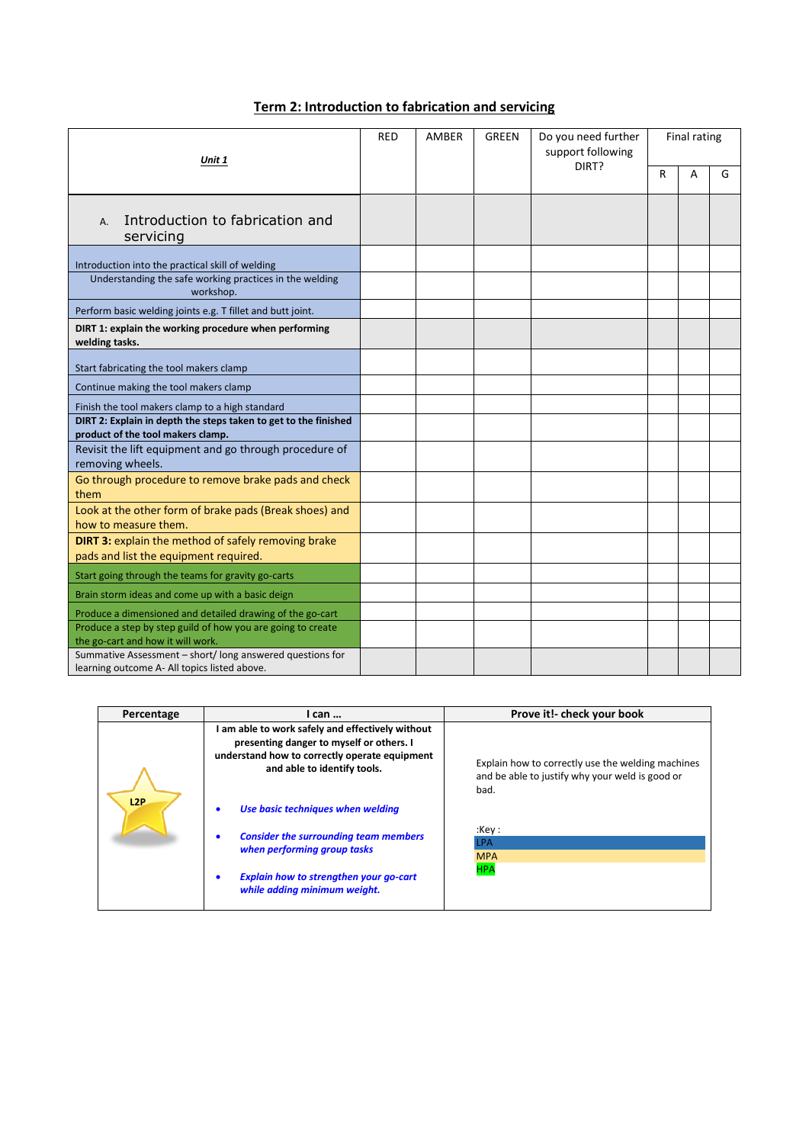| Term 2: Introduction to fabrication and servicing |
|---------------------------------------------------|
|---------------------------------------------------|

| Unit 1                                                                                                   |  | AMBER | <b>GREEN</b> | Do you need further<br>support following | <b>Final rating</b> |   |   |
|----------------------------------------------------------------------------------------------------------|--|-------|--------------|------------------------------------------|---------------------|---|---|
|                                                                                                          |  |       |              | DIRT?                                    | R                   | A | G |
| Introduction to fabrication and<br>A.<br>servicing                                                       |  |       |              |                                          |                     |   |   |
| Introduction into the practical skill of welding                                                         |  |       |              |                                          |                     |   |   |
| Understanding the safe working practices in the welding<br>workshop.                                     |  |       |              |                                          |                     |   |   |
| Perform basic welding joints e.g. T fillet and butt joint.                                               |  |       |              |                                          |                     |   |   |
| DIRT 1: explain the working procedure when performing<br>welding tasks.                                  |  |       |              |                                          |                     |   |   |
| Start fabricating the tool makers clamp                                                                  |  |       |              |                                          |                     |   |   |
| Continue making the tool makers clamp                                                                    |  |       |              |                                          |                     |   |   |
| Finish the tool makers clamp to a high standard                                                          |  |       |              |                                          |                     |   |   |
| DIRT 2: Explain in depth the steps taken to get to the finished<br>product of the tool makers clamp.     |  |       |              |                                          |                     |   |   |
| Revisit the lift equipment and go through procedure of<br>removing wheels.                               |  |       |              |                                          |                     |   |   |
| Go through procedure to remove brake pads and check<br>them                                              |  |       |              |                                          |                     |   |   |
| Look at the other form of brake pads (Break shoes) and<br>how to measure them.                           |  |       |              |                                          |                     |   |   |
| DIRT 3: explain the method of safely removing brake<br>pads and list the equipment required.             |  |       |              |                                          |                     |   |   |
| Start going through the teams for gravity go-carts                                                       |  |       |              |                                          |                     |   |   |
| Brain storm ideas and come up with a basic deign                                                         |  |       |              |                                          |                     |   |   |
| Produce a dimensioned and detailed drawing of the go-cart                                                |  |       |              |                                          |                     |   |   |
| Produce a step by step guild of how you are going to create<br>the go-cart and how it will work.         |  |       |              |                                          |                     |   |   |
| Summative Assessment - short/long answered questions for<br>learning outcome A- All topics listed above. |  |       |              |                                          |                     |   |   |

| Percentage | I can                                                                                                                                                                                             | Prove it!- check your book                                                                                   |
|------------|---------------------------------------------------------------------------------------------------------------------------------------------------------------------------------------------------|--------------------------------------------------------------------------------------------------------------|
| L2P        | am able to work safely and effectively without<br>presenting danger to myself or others. I<br>understand how to correctly operate equipment<br>and able to identify tools.                        | Explain how to correctly use the welding machines<br>and be able to justify why your weld is good or<br>bad. |
|            | Use basic techniques when welding<br><b>Consider the surrounding team members</b><br>when performing group tasks<br><b>Explain how to strengthen your go-cart</b><br>while adding minimum weight. | :Key:<br><b>LPA</b><br><b>MPA</b><br><b>HPA</b>                                                              |